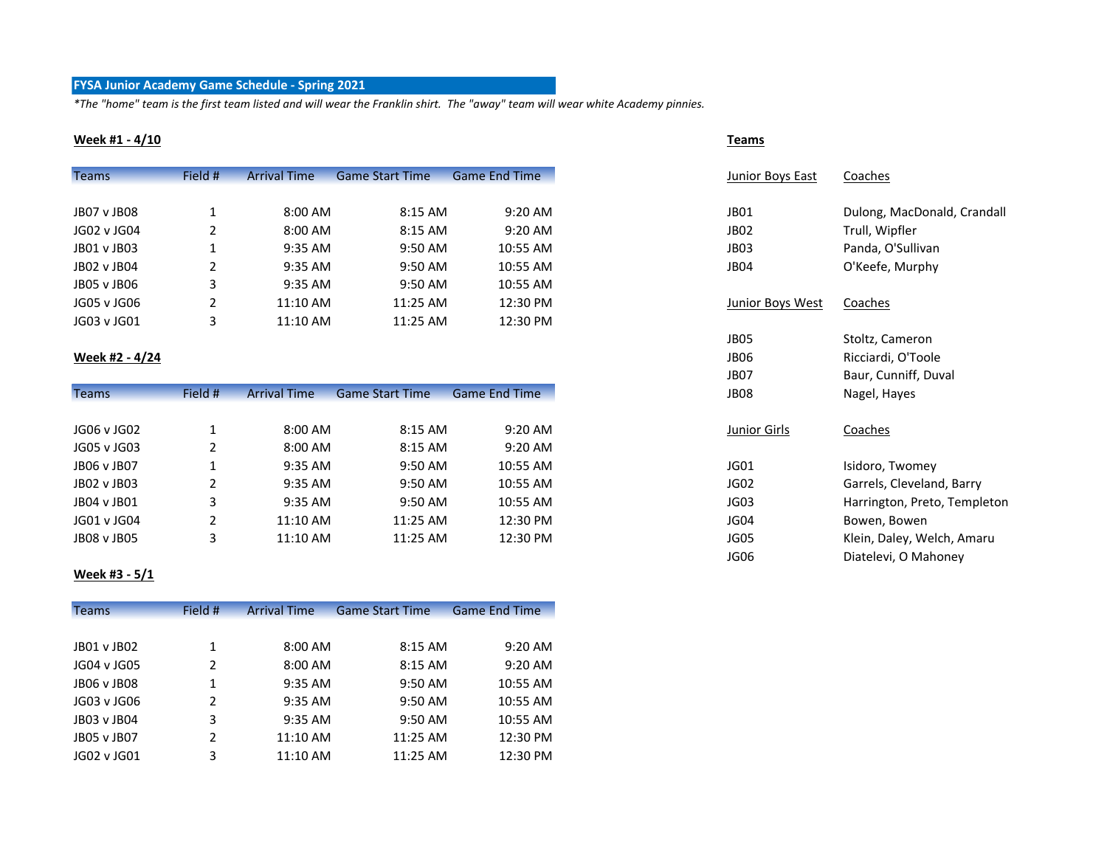### **FYSA Junior Academy Game Schedule - Spring 2021**

*\*The "home" team is the first team listed and will wear the Franklin shirt. The "away" team will wear white Academy pinnies.*

#### **Week #1 - 4/10 Teams**

| <b>Teams</b> | Field # | <b>Arrival Time</b> | <b>Game Start Time</b> | <b>Game End Time</b> | Junior Boys East | Coaches                     |
|--------------|---------|---------------------|------------------------|----------------------|------------------|-----------------------------|
|              |         |                     |                        |                      |                  |                             |
| JB07 v JB08  |         | 8:00 AM             | 8:15 AM                | 9:20 AM              | JB01             | Dulong, MacDonald, Crandall |
| JG02 v JG04  |         | 8:00 AM             | 8:15 AM                | 9:20 AM              | JB02             | Trull, Wipfler              |
| JB01 v JB03  |         | 9:35 AM             | 9:50 AM                | 10:55 AM             | JB03             | Panda, O'Sullivan           |
| JB02 v JB04  |         | 9:35 AM             | 9:50 AM                | 10:55 AM             | JB04             | O'Keefe, Murphy             |
| JB05 v JB06  |         | 9:35 AM             | 9:50 AM                | 10:55 AM             |                  |                             |
| JG05 v JG06  |         | 11:10 AM            | 11:25 AM               | 12:30 PM             | Junior Boys West | Coaches                     |
| JG03 v JG01  |         | 11:10 AM            | 11:25 AM               | 12:30 PM             |                  |                             |

### **Week #2 - 4/24**

| <b>Teams</b> | Field # | <b>Arrival Time</b> | <b>Game Start Time</b> | <b>Game End Time</b> | <b>JB08</b>  | Nagel, Hayes                 |
|--------------|---------|---------------------|------------------------|----------------------|--------------|------------------------------|
|              |         |                     |                        |                      |              |                              |
| JG06 v JG02  |         | 8:00 AM             | 8:15 AM                | 9:20 AM              | Junior Girls | Coaches                      |
| JG05 v JG03  |         | 8:00 AM             | 8:15 AM                | $9:20 \text{ AM}$    |              |                              |
| JB06 v JB07  |         | 9:35 AM             | 9:50 AM                | 10:55 AM             | JG01         | Isidoro, Twomey              |
| JB02 v JB03  |         | $9:35$ AM           | 9:50 AM                | 10:55 AM             | JG02         | Garrels, Cleveland, Barry    |
| JB04 v JB01  |         | 9:35 AM             | 9:50 AM                | 10:55 AM             | JG03         | Harrington, Preto, Templeton |
| JG01 v JG04  |         | 11:10 AM            | 11:25 AM               | 12:30 PM             | JG04         | Bowen, Bowen                 |
| JB08 v JB05  |         | 11:10 AM            | 11:25 AM               | 12:30 PM             | JG05         | Klein, Daley, Welch, Amaru   |

#### **Week #3 - 5/1**

| <b>Teams</b> | Field # | <b>Arrival Time</b> | <b>Game Start Time</b> | <b>Game End Time</b> |
|--------------|---------|---------------------|------------------------|----------------------|
|              |         |                     |                        |                      |
| JB01 v JB02  | 1       | 8:00 AM             | 8:15 AM                | $9:20$ AM            |
| JG04 v JG05  | 2       | 8:00 AM             | 8:15 AM                | $9:20$ AM            |
| JB06 v JB08  | 1       | 9:35 AM             | 9:50 AM                | 10:55 AM             |
| JG03 v JG06  | 2       | 9:35 AM             | 9:50 AM                | 10:55 AM             |
| JB03 v JB04  | 3       | 9:35 AM             | 9:50 AM                | 10:55 AM             |
| JB05 v JB07  | 2       | 11:10 AM            | 11:25 AM               | 12:30 PM             |
| JG02 v JG01  | 3       | 11:10 AM            | $11:25$ AM             | 12:30 PM             |

| Junior Boys East        | Coaches                      |
|-------------------------|------------------------------|
| JB <sub>01</sub>        | Dulong, MacDonald, Crandall  |
| JB <sub>02</sub>        | Trull, Wipfler               |
| JB <sub>03</sub>        | Panda, O'Sullivan            |
| JB04                    | O'Keefe, Murphy              |
| <u>Junior Boys West</u> | Coaches                      |
| JB05                    | Stoltz, Cameron              |
| <b>JB06</b>             | Ricciardi, O'Toole           |
| JB <sub>07</sub>        | Baur, Cunniff, Duval         |
| JB08                    | Nagel, Hayes                 |
| <b>Junior Girls</b>     | <u>Coaches</u>               |
| JG01                    | Isidoro, Twomey              |
| JG02                    | Garrels, Cleveland, Barry    |
| JG03                    | Harrington, Preto, Templeton |
| JG04                    | Bowen, Bowen                 |
| JG05                    | Klein, Daley, Welch, Amaru   |
| JG06                    | Diatelevi, O Mahoney         |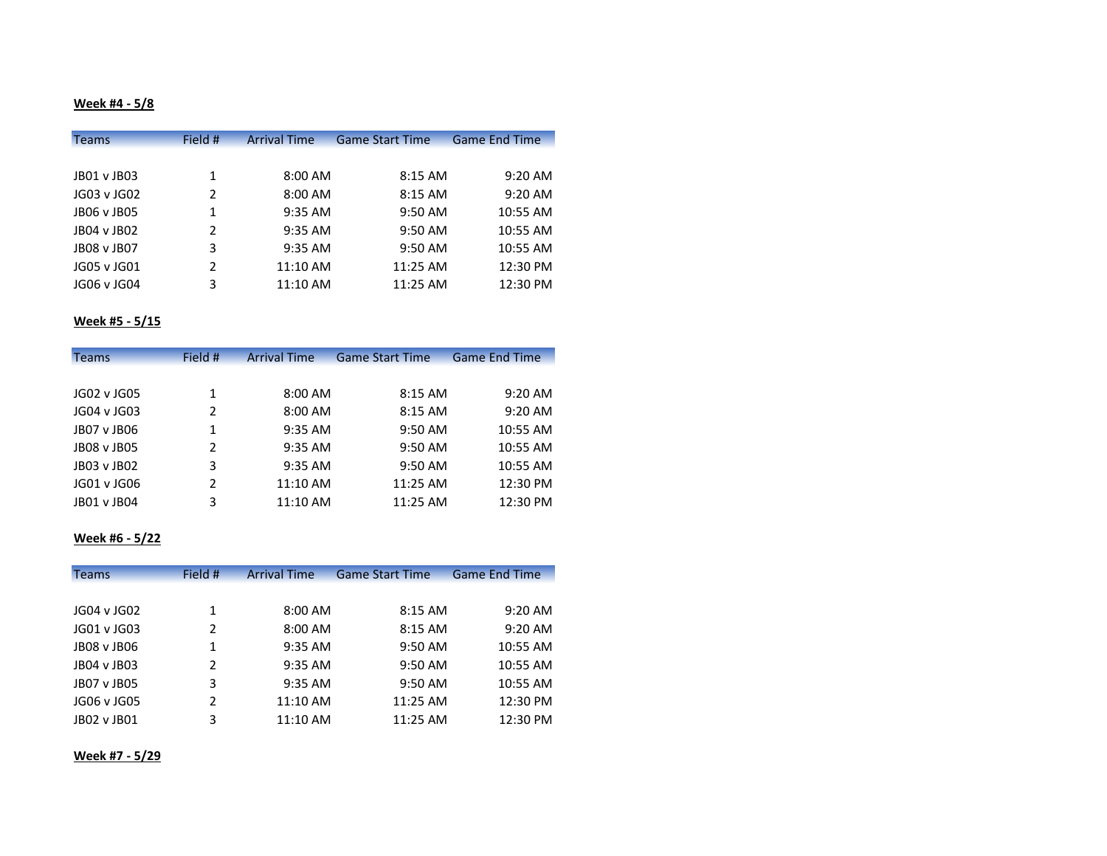# **Week #4 - 5/8**

| <b>Teams</b> | Field # | <b>Arrival Time</b> | <b>Game Start Time</b> | <b>Game End Time</b> |
|--------------|---------|---------------------|------------------------|----------------------|
|              |         |                     |                        |                      |
| JB01 v JB03  | 1       | 8:00 AM             | 8:15 AM                | $9:20$ AM            |
| JG03 v JG02  | 2       | 8:00 AM             | 8:15 AM                | 9:20 AM              |
| JB06 v JB05  | 1       | 9:35 AM             | 9:50 AM                | 10:55 AM             |
| JB04 v JB02  | 2       | 9:35 AM             | 9:50 AM                | 10:55 AM             |
| JB08 v JB07  | 3       | 9:35 AM             | 9:50 AM                | 10:55 AM             |
| JG05 v JG01  | 2       | 11:10 AM            | 11:25 AM               | 12:30 PM             |
| JG06 v JG04  | 3       | 11:10 AM            | 11:25 AM               | 12:30 PM             |

### **Week #5 - 5/15**

| <b>Teams</b> | Field # | <b>Arrival Time</b> | <b>Game Start Time</b> | <b>Game End Time</b> |
|--------------|---------|---------------------|------------------------|----------------------|
|              |         |                     |                        |                      |
| JG02 v JG05  | 1       | 8:00 AM             | 8:15 AM                | $9:20$ AM            |
| JG04 v JG03  | 2       | 8:00 AM             | 8:15 AM                | $9:20$ AM            |
| JB07 v JB06  | 1       | 9:35 AM             | 9:50 AM                | 10:55 AM             |
| JB08 v JB05  | 2       | 9:35 AM             | 9:50 AM                | 10:55 AM             |
| JB03 v JB02  | 3       | 9:35 AM             | 9:50 AM                | 10:55 AM             |
| JG01 v JG06  | 2       | 11:10 AM            | 11:25 AM               | 12:30 PM             |
| JB01 v JB04  | 3       | 11:10 AM            | 11:25 AM               | 12:30 PM             |

#### **Week #6 - 5/22**

| <b>Teams</b> | Field # | <b>Arrival Time</b> | <b>Game Start Time</b> | <b>Game End Time</b> |
|--------------|---------|---------------------|------------------------|----------------------|
|              |         |                     |                        |                      |
| JG04 v JG02  | 1       | 8:00 AM             | 8:15 AM                | $9:20$ AM            |
| JG01 v JG03  | 2       | 8:00 AM             | 8:15 AM                | $9:20$ AM            |
| JB08 v JB06  | 1       | 9:35 AM             | 9:50 AM                | 10:55 AM             |
| JB04 v JB03  | 2       | 9:35 AM             | 9:50 AM                | 10:55 AM             |
| JB07 v JB05  | 3       | 9:35 AM             | 9:50 AM                | 10:55 AM             |
| JG06 v JG05  | 2       | 11:10 AM            | 11:25 AM               | 12:30 PM             |
| JB02 v JB01  | 3       | $11:10$ AM          | $11:25$ AM             | 12:30 PM             |

### **Week #7 - 5/29**